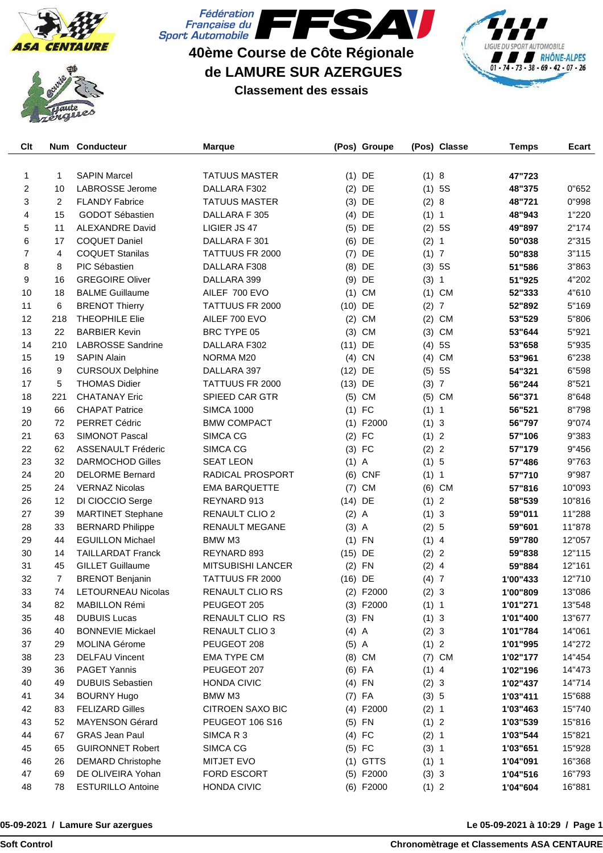





## **40ème Course de Côte Régionale de LAMURE SUR AZERGUES**





| Clt |                | Num Conducteur            | <b>Marque</b>                   |           | (Pos) Groupe |         | (Pos) Classe   | <b>Temps</b> | Ecart  |
|-----|----------------|---------------------------|---------------------------------|-----------|--------------|---------|----------------|--------------|--------|
|     |                |                           |                                 |           |              |         |                |              |        |
| 1   | 1              | <b>SAPIN Marcel</b>       | <b>TATUUS MASTER</b>            |           | $(1)$ DE     | (1) 8   |                | 47"723       |        |
| 2   | 10             | LABROSSE Jerome           | DALLARA F302                    | (2)       | DE           |         | (1) 5S         | 48"375       | 0"652  |
| 3   | 2              | <b>FLANDY Fabrice</b>     | <b>TATUUS MASTER</b>            | (3)       | DE           | (2) 8   |                | 48"721       | 0"998  |
| 4   | 15             | GODOT Sébastien           | DALLARA F 305                   | (4)       | DE           | (1) 1   |                | 48"943       | 1"220  |
| 5   | 11             | <b>ALEXANDRE David</b>    | LIGIER JS 47                    | (5)       | DE           |         | (2) 5S         | 49"897       | 2"174  |
| 6   | 17             | <b>COQUET Daniel</b>      | DALLARA F 301                   | (6)       | DE           | (2) 1   |                | 50"038       | 2"315  |
| 7   | 4              | <b>COQUET Stanilas</b>    | TATTUUS FR 2000                 | (7)       | DE           | (1)     | $\overline{7}$ | 50"838       | 3"115  |
| 8   | 8              | PIC Sébastien             | DALLARA F308                    | (8)       | DE           | (3)     | 5S             | 51"586       | 3"863  |
| 9   | 16             | <b>GREGOIRE Oliver</b>    | DALLARA 399                     | (9)       | DE           | (3) 1   |                | 51"925       | 4"202  |
| 10  | 18             | <b>BALME Guillaume</b>    | AILEF 700 EVO                   |           | $(1)$ CM     |         | $(1)$ CM       | 52"333       | 4"610  |
| 11  | 6              | <b>BRENOT Thierry</b>     | TATTUUS FR 2000                 | $(10)$ DE |              | (2)     | $\overline{7}$ | 52"892       | 5"169  |
| 12  | 218            | <b>THEOPHILE Elie</b>     | AILEF 700 EVO                   | (2)       | <b>CM</b>    | (2)     | <b>CM</b>      | 53"529       | 5"806  |
| 13  | 22             | <b>BARBIER Kevin</b>      | BRC TYPE 05                     | (3)       | <b>CM</b>    | (3)     | <b>CM</b>      | 53"644       | 5"921  |
| 14  | 210            | <b>LABROSSE Sandrine</b>  | DALLARA F302                    | $(11)$ DE |              | (4)     | 5S             | 53"658       | 5"935  |
| 15  | 19             | <b>SAPIN Alain</b>        | NORMA M20                       |           | $(4)$ CN     | (4)     | <b>CM</b>      | 53"961       | 6"238  |
| 16  | 9              | <b>CURSOUX Delphine</b>   | DALLARA 397                     | $(12)$ DE |              | (5)     | <b>5S</b>      | 54"321       | 6"598  |
| 17  | 5              | <b>THOMAS Didier</b>      | TATTUUS FR 2000                 | $(13)$ DE |              | (3) 7   |                | 56"244       | 8"521  |
| 18  | 221            | <b>CHATANAY Eric</b>      | SPIEED CAR GTR                  |           | $(5)$ CM     |         | $(5)$ CM       | 56"371       | 8"648  |
| 19  | 66             | <b>CHAPAT Patrice</b>     | <b>SIMCA 1000</b>               |           | $(1)$ FC     | (1) 1   |                | 56"521       | 8"798  |
| 20  | 72             | PERRET Cédric             | <b>BMW COMPACT</b>              |           | $(1)$ F2000  | (1) 3   |                | 56"797       | 9"074  |
| 21  | 63             | <b>SIMONOT Pascal</b>     | SIMCA CG                        |           | $(2)$ FC     | (1) 2   |                | 57"106       | 9"383  |
| 22  | 62             | <b>ASSENAULT Fréderic</b> | SIMCA CG                        |           | $(3)$ FC     | (2) 2   |                | 57"179       | 9"456  |
| 23  | 32             | <b>DARMOCHOD Gilles</b>   | <b>SEAT LEON</b>                | $(1)$ A   |              | (1) 5   |                | 57"486       | 9"763  |
| 24  | 20             | <b>DELORME Bernard</b>    | RADICAL PROSPORT                |           | $(6)$ CNF    | (1) 1   |                | 57"710       | 9"987  |
| 25  | 24             | <b>VERNAZ Nicolas</b>     | <b>EMA BARQUETTE</b>            |           | $(7)$ CM     |         | $(6)$ CM       |              | 10"093 |
| 26  | 12             |                           | REYNARD 913                     | $(14)$ DE |              | (1) 2   |                | 57"816       | 10"816 |
|     |                | DI CIOCCIO Serge          |                                 |           |              |         |                | 58"539       |        |
| 27  | 39             | <b>MARTINET Stephane</b>  | RENAULT CLIO 2                  | $(2)$ A   |              | (1) 3   |                | 59"011       | 11"288 |
| 28  | 33             | <b>BERNARD Philippe</b>   | <b>RENAULT MEGANE</b><br>BMW M3 | $(3)$ A   |              | (2) 5   |                | 59"601       | 11"878 |
| 29  | 44             | <b>EGUILLON Michael</b>   |                                 | (1)       | FN           | $(1)$ 4 |                | 59"780       | 12"057 |
| 30  | 14             | <b>TAILLARDAT Franck</b>  | REYNARD 893                     | $(15)$ DE |              | (2) 2   |                | 59"838       | 12"115 |
| 31  | 45             | <b>GILLET Guillaume</b>   | <b>MITSUBISHI LANCER</b>        |           | $(2)$ FN     | $(2)$ 4 |                | 59"884       | 12"161 |
| 32  | $\overline{7}$ | <b>BRENOT Benjanin</b>    | TATTUUS FR 2000                 | $(16)$ DE |              | (4)7    |                | 1'00"433     | 12"710 |
| 33  | 74             | <b>LETOURNEAU Nicolas</b> | RENAULT CLIO RS                 |           | $(2)$ F2000  | (2) 3   |                | 1'00"809     | 13"086 |
| 34  | 82             | MABILLON Rémi             | PEUGEOT 205                     |           | $(3)$ F2000  | (1) 1   |                | 1'01"271     | 13"548 |
| 35  | 48             | <b>DUBUIS Lucas</b>       | RENAULT CLIO RS                 |           | $(3)$ FN     | (1) 3   |                | 1'01"400     | 13"677 |
| 36  | 40             | <b>BONNEVIE Mickael</b>   | RENAULT CLIO 3                  | $(4)$ A   |              | (2) 3   |                | 1'01"784     | 14"061 |
| 37  | 29             | <b>MOLINA Gérome</b>      | PEUGEOT 208                     | $(5)$ A   |              | (1) 2   |                | 1'01"995     | 14"272 |
| 38  | 23             | <b>DELFAU Vincent</b>     | EMA TYPE CM                     |           | $(8)$ CM     |         | $(7)$ CM       | 1'02"177     | 14"454 |
| 39  | 36             | <b>PAGET Yannis</b>       | PEUGEOT 207                     |           | $(6)$ FA     | (1) 4   |                | 1'02"196     | 14"473 |
| 40  | 49             | <b>DUBUIS Sebastien</b>   | <b>HONDA CIVIC</b>              |           | $(4)$ FN     | (2) 3   |                | 1'02"437     | 14"714 |
| 41  | 34             | <b>BOURNY Hugo</b>        | BMW M3                          |           | $(7)$ FA     | (3) 5   |                | 1'03"411     | 15"688 |
| 42  | 83             | <b>FELIZARD Gilles</b>    | <b>CITROEN SAXO BIC</b>         |           | (4) F2000    | (2) 1   |                | 1'03"463     | 15"740 |
| 43  | 52             | <b>MAYENSON Gérard</b>    | PEUGEOT 106 S16                 |           | $(5)$ FN     | (1) 2   |                | 1'03"539     | 15"816 |
| 44  | 67             | <b>GRAS Jean Paul</b>     | SIMCA R 3                       |           | $(4)$ FC     | (2) 1   |                | 1'03"544     | 15"821 |
| 45  | 65             | <b>GUIRONNET Robert</b>   | SIMCA CG                        |           | $(5)$ FC     | (3) 1   |                | 1'03"651     | 15"928 |
| 46  | 26             | <b>DEMARD Christophe</b>  | <b>MITJET EVO</b>               |           | $(1)$ GTTS   | (1) 1   |                | 1'04"091     | 16"368 |
| 47  | 69             | DE OLIVEIRA Yohan         | FORD ESCORT                     |           | $(5)$ F2000  | (3) 3   |                | 1'04"516     | 16"793 |
| 48  | 78             | <b>ESTURILLO Antoine</b>  | HONDA CIVIC                     |           | (6) F2000    | (1) 2   |                | 1'04"604     | 16"881 |

## **05-09-2021 / Lamure Sur azergues**